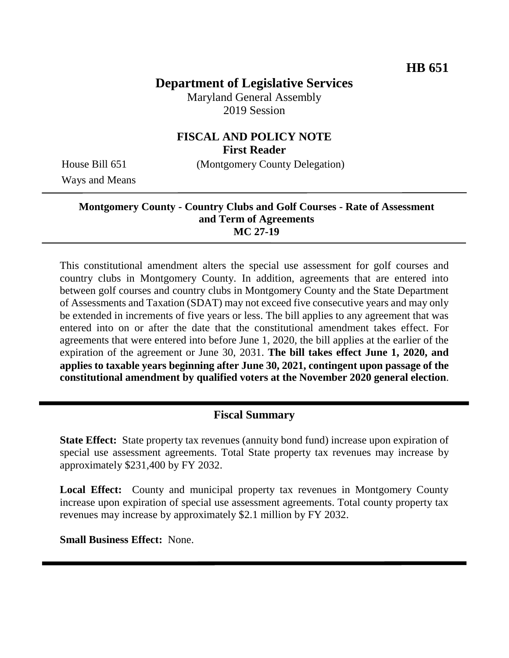# **Department of Legislative Services**

Maryland General Assembly 2019 Session

#### **FISCAL AND POLICY NOTE First Reader**

House Bill 651 (Montgomery County Delegation)

Ways and Means

#### **Montgomery County - Country Clubs and Golf Courses - Rate of Assessment and Term of Agreements MC 27-19**

This constitutional amendment alters the special use assessment for golf courses and country clubs in Montgomery County. In addition, agreements that are entered into between golf courses and country clubs in Montgomery County and the State Department of Assessments and Taxation (SDAT) may not exceed five consecutive years and may only be extended in increments of five years or less. The bill applies to any agreement that was entered into on or after the date that the constitutional amendment takes effect. For agreements that were entered into before June 1, 2020, the bill applies at the earlier of the expiration of the agreement or June 30, 2031. **The bill takes effect June 1, 2020, and applies to taxable years beginning after June 30, 2021, contingent upon passage of the constitutional amendment by qualified voters at the November 2020 general election**.

## **Fiscal Summary**

**State Effect:** State property tax revenues (annuity bond fund) increase upon expiration of special use assessment agreements. Total State property tax revenues may increase by approximately \$231,400 by FY 2032.

**Local Effect:** County and municipal property tax revenues in Montgomery County increase upon expiration of special use assessment agreements. Total county property tax revenues may increase by approximately \$2.1 million by FY 2032.

**Small Business Effect:** None.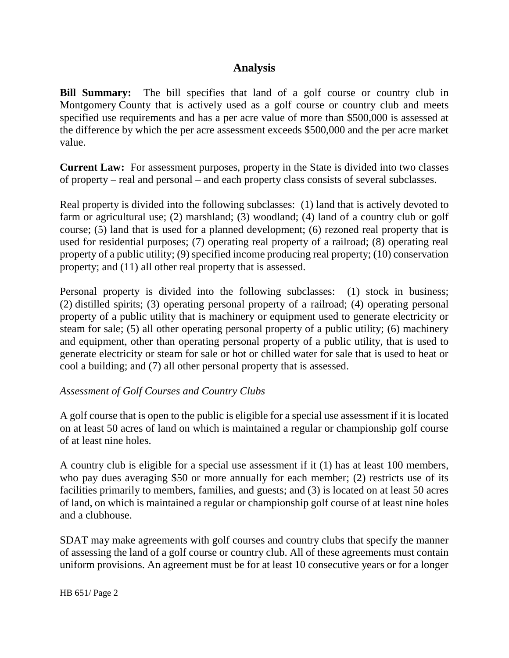### **Analysis**

**Bill Summary:** The bill specifies that land of a golf course or country club in Montgomery County that is actively used as a golf course or country club and meets specified use requirements and has a per acre value of more than \$500,000 is assessed at the difference by which the per acre assessment exceeds \$500,000 and the per acre market value.

**Current Law:** For assessment purposes, property in the State is divided into two classes of property – real and personal – and each property class consists of several subclasses.

Real property is divided into the following subclasses: (1) land that is actively devoted to farm or agricultural use; (2) marshland; (3) woodland; (4) land of a country club or golf course; (5) land that is used for a planned development; (6) rezoned real property that is used for residential purposes; (7) operating real property of a railroad; (8) operating real property of a public utility; (9) specified income producing real property; (10) conservation property; and (11) all other real property that is assessed.

Personal property is divided into the following subclasses: (1) stock in business; (2) distilled spirits; (3) operating personal property of a railroad; (4) operating personal property of a public utility that is machinery or equipment used to generate electricity or steam for sale; (5) all other operating personal property of a public utility; (6) machinery and equipment, other than operating personal property of a public utility, that is used to generate electricity or steam for sale or hot or chilled water for sale that is used to heat or cool a building; and (7) all other personal property that is assessed.

#### *Assessment of Golf Courses and Country Clubs*

A golf course that is open to the public is eligible for a special use assessment if it is located on at least 50 acres of land on which is maintained a regular or championship golf course of at least nine holes.

A country club is eligible for a special use assessment if it (1) has at least 100 members, who pay dues averaging \$50 or more annually for each member; (2) restricts use of its facilities primarily to members, families, and guests; and (3) is located on at least 50 acres of land, on which is maintained a regular or championship golf course of at least nine holes and a clubhouse.

SDAT may make agreements with golf courses and country clubs that specify the manner of assessing the land of a golf course or country club. All of these agreements must contain uniform provisions. An agreement must be for at least 10 consecutive years or for a longer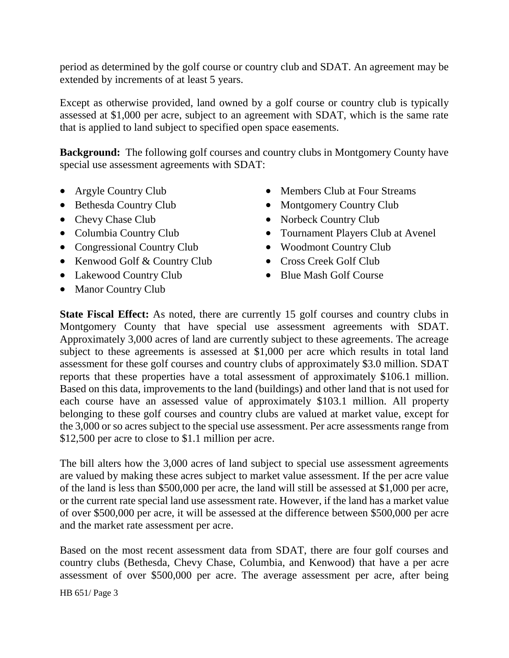period as determined by the golf course or country club and SDAT. An agreement may be extended by increments of at least 5 years.

Except as otherwise provided, land owned by a golf course or country club is typically assessed at \$1,000 per acre, subject to an agreement with SDAT, which is the same rate that is applied to land subject to specified open space easements.

**Background:** The following golf courses and country clubs in Montgomery County have special use assessment agreements with SDAT:

- Argyle Country Club
- Bethesda Country Club
- Chevy Chase Club
- Columbia Country Club
- Congressional Country Club
- Kenwood Golf & Country Club
- Lakewood Country Club
- Manor Country Club
- Members Club at Four Streams
- Montgomery Country Club
- Norbeck Country Club
- Tournament Players Club at Avenel
- Woodmont Country Club
- Cross Creek Golf Club
- Blue Mash Golf Course

**State Fiscal Effect:** As noted, there are currently 15 golf courses and country clubs in Montgomery County that have special use assessment agreements with SDAT. Approximately 3,000 acres of land are currently subject to these agreements. The acreage subject to these agreements is assessed at \$1,000 per acre which results in total land assessment for these golf courses and country clubs of approximately \$3.0 million. SDAT reports that these properties have a total assessment of approximately \$106.1 million. Based on this data, improvements to the land (buildings) and other land that is not used for each course have an assessed value of approximately \$103.1 million. All property belonging to these golf courses and country clubs are valued at market value, except for the 3,000 or so acres subject to the special use assessment. Per acre assessments range from \$12,500 per acre to close to \$1.1 million per acre.

The bill alters how the 3,000 acres of land subject to special use assessment agreements are valued by making these acres subject to market value assessment. If the per acre value of the land is less than \$500,000 per acre, the land will still be assessed at \$1,000 per acre, or the current rate special land use assessment rate. However, if the land has a market value of over \$500,000 per acre, it will be assessed at the difference between \$500,000 per acre and the market rate assessment per acre.

Based on the most recent assessment data from SDAT, there are four golf courses and country clubs (Bethesda, Chevy Chase, Columbia, and Kenwood) that have a per acre assessment of over \$500,000 per acre. The average assessment per acre, after being